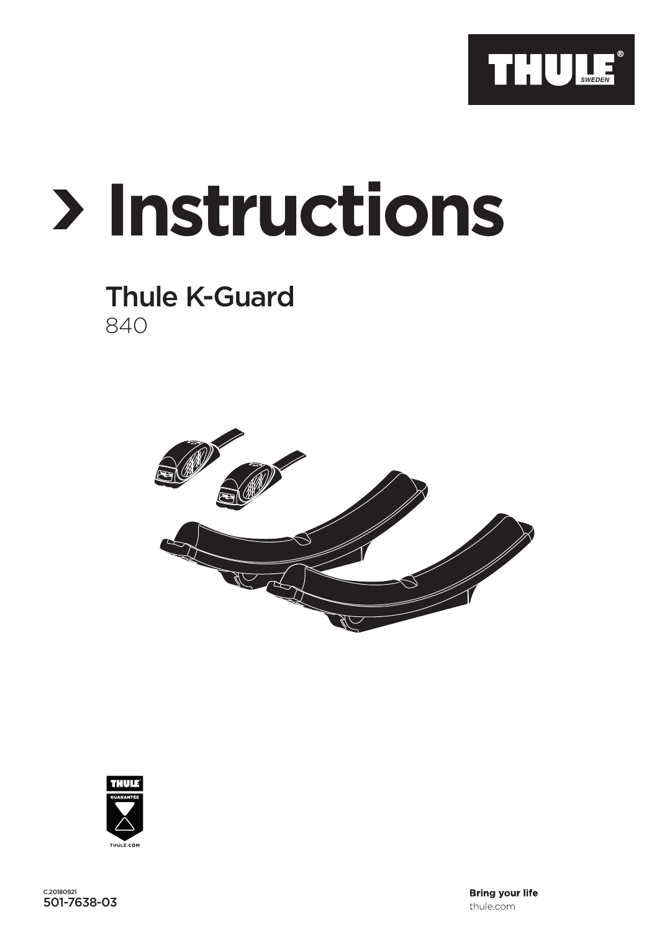

## **Instructions**

## Thule K-Guard 840



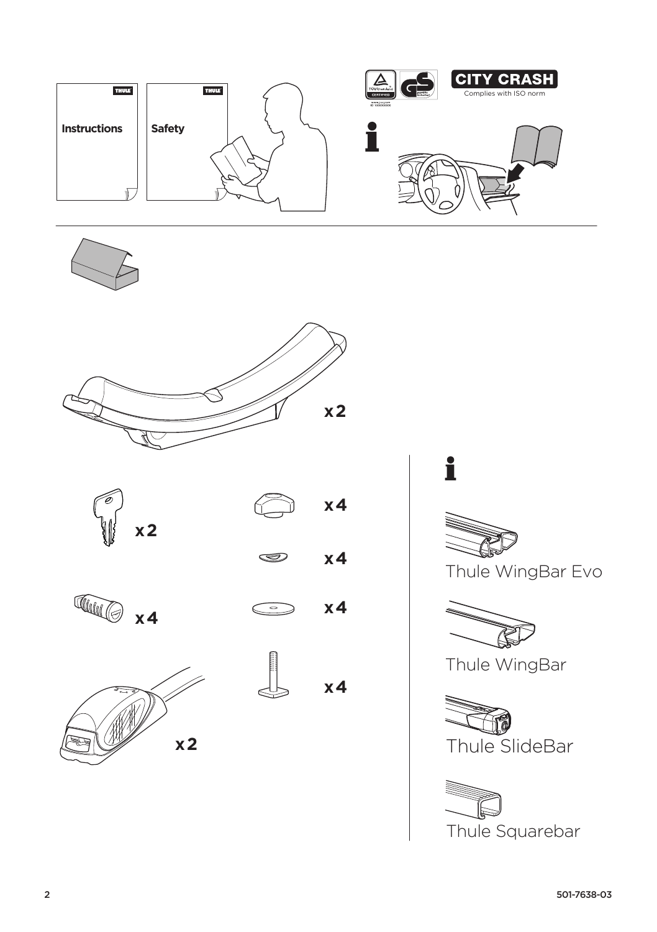











**x4**  ತಾ



**x4** 

**x4** 

i



Thule WingBar Evo



Thule WingBar



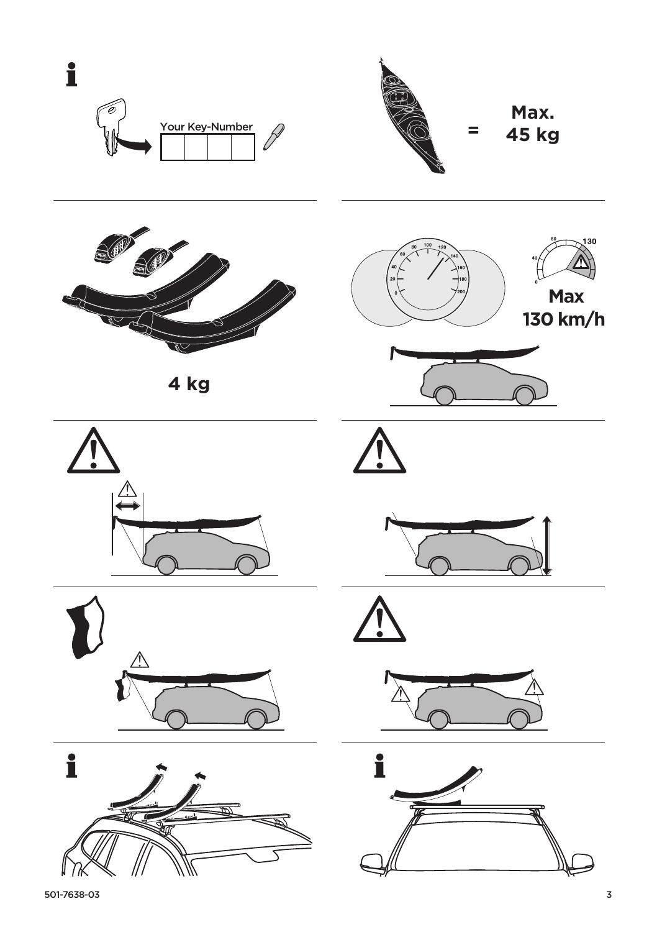

501-7638-03 3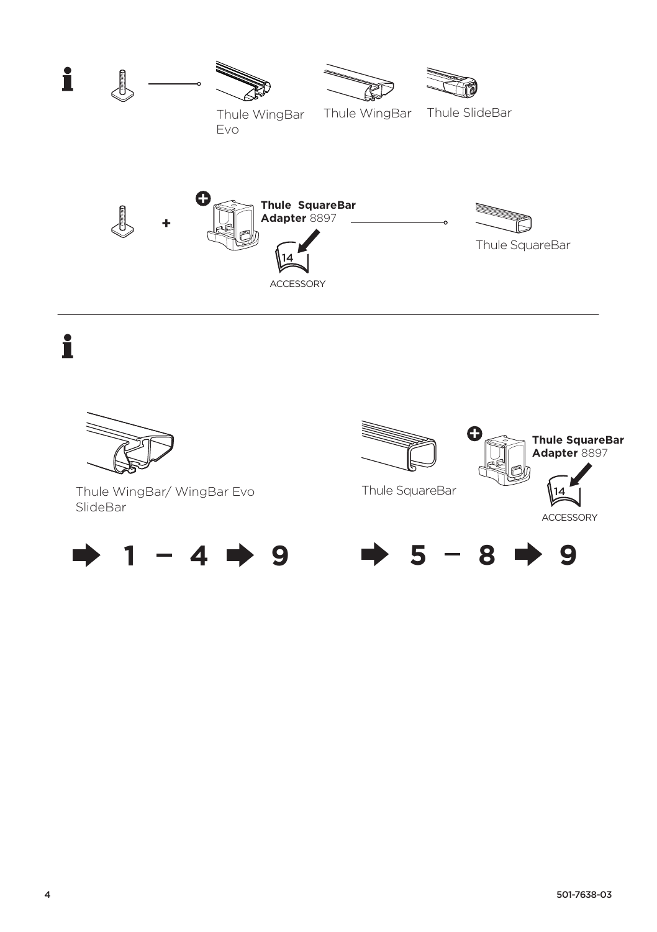

i



Thule WingBar/ WingBar Evo SlideBar



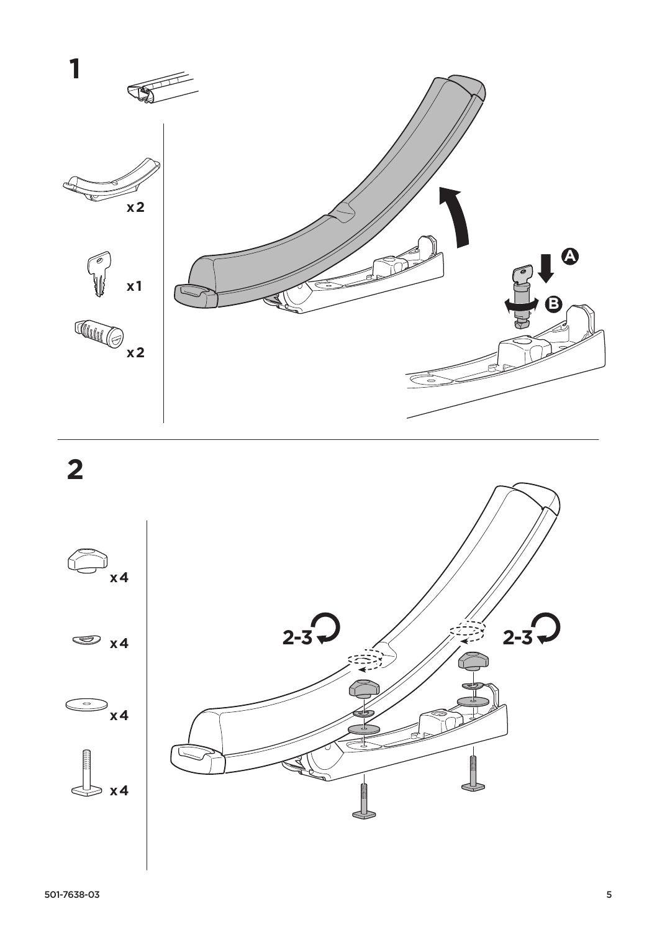



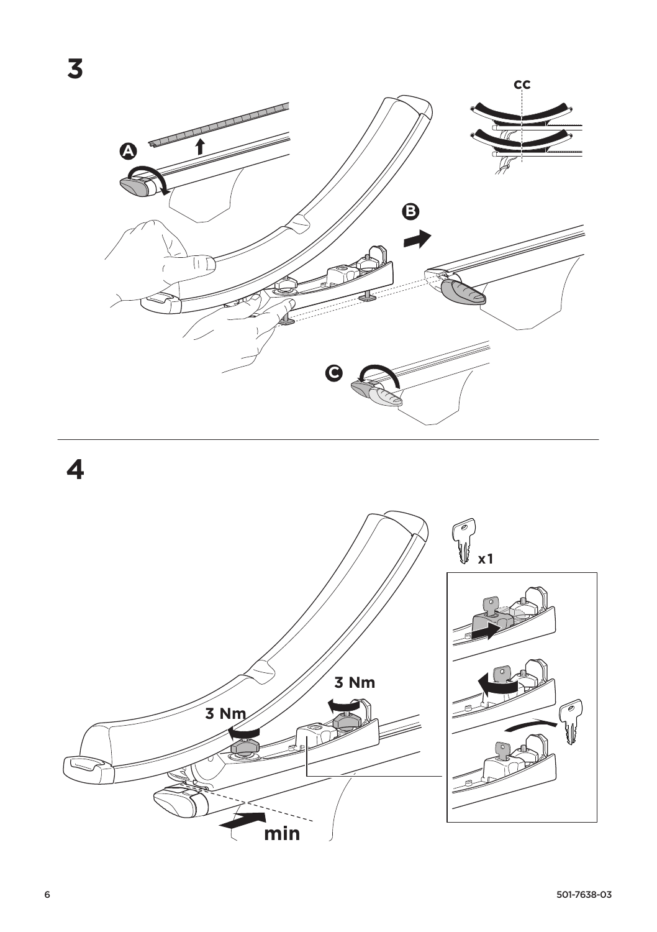

 $\overline{\mathbf{4}}$ 

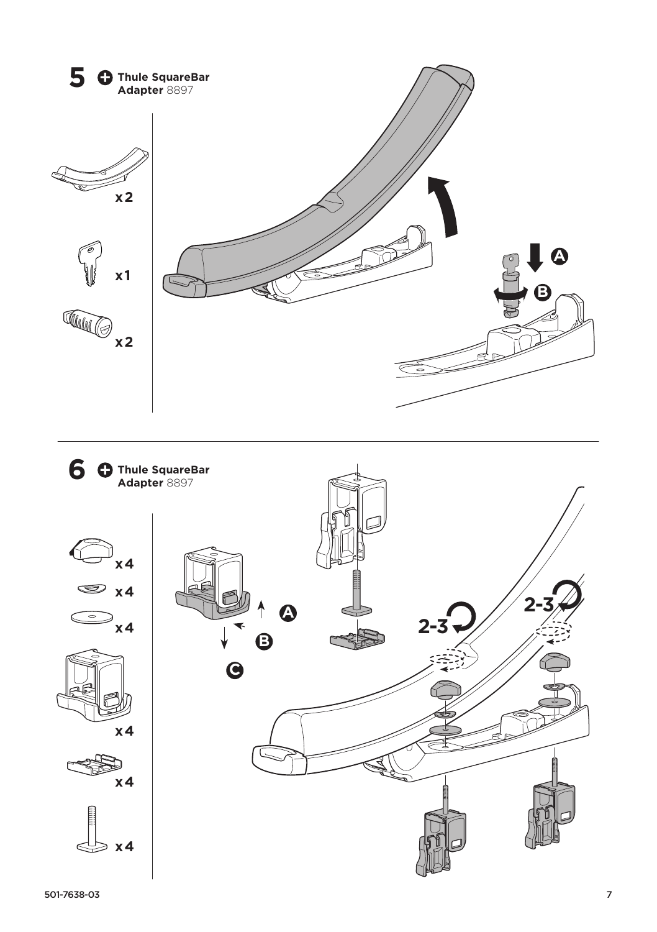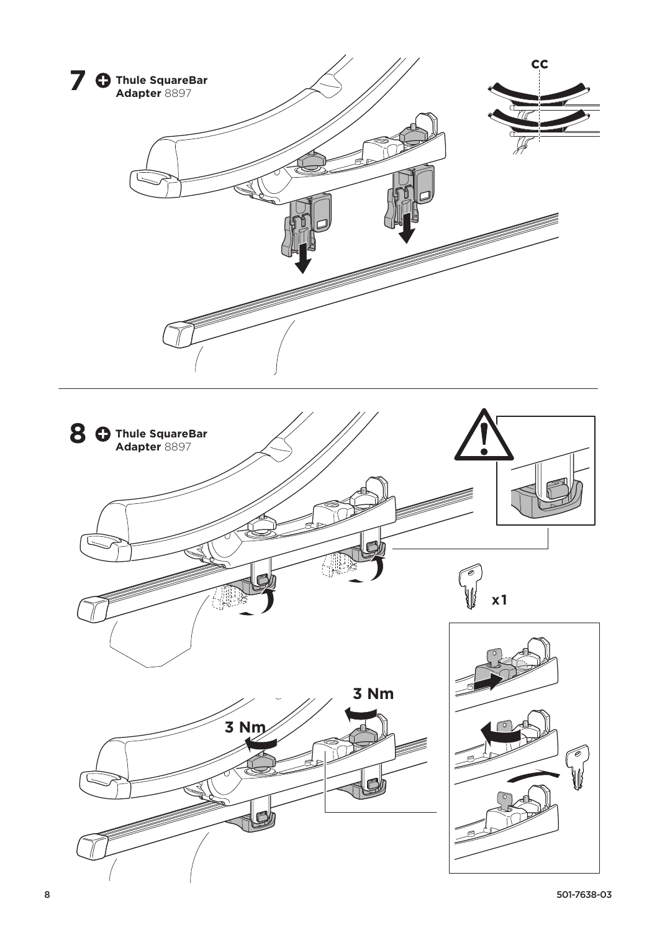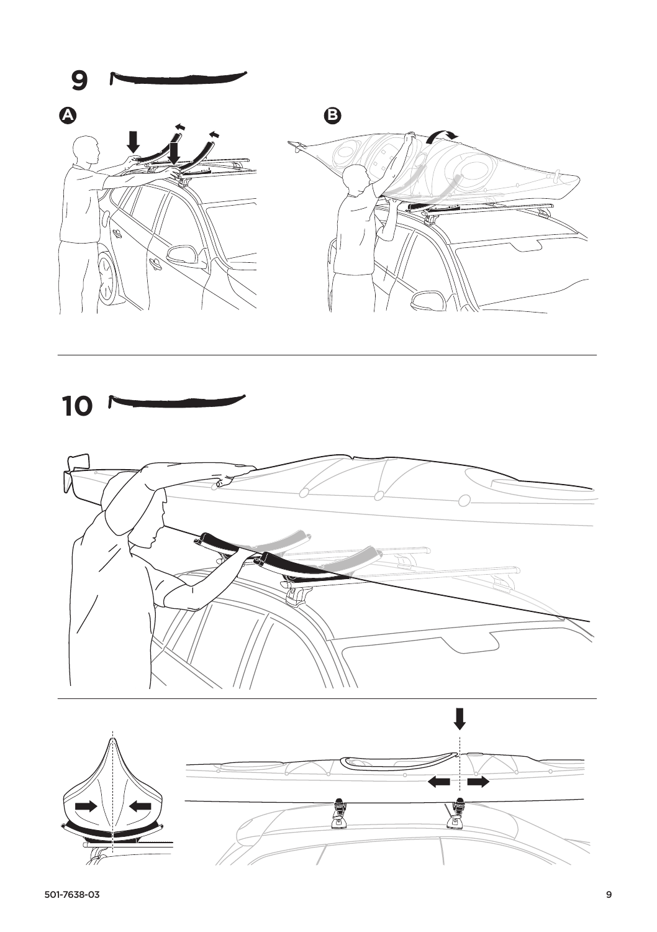





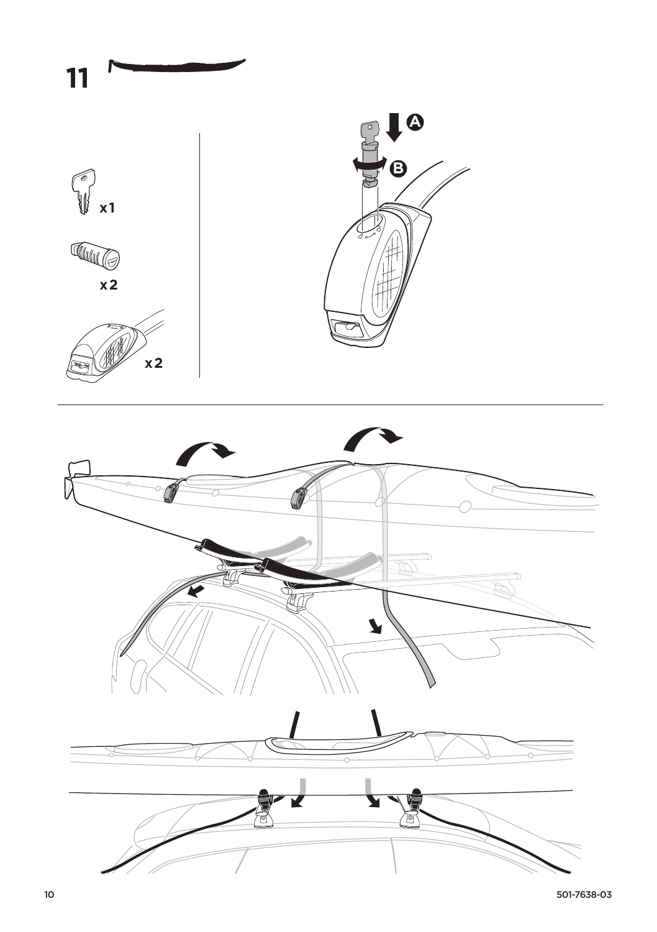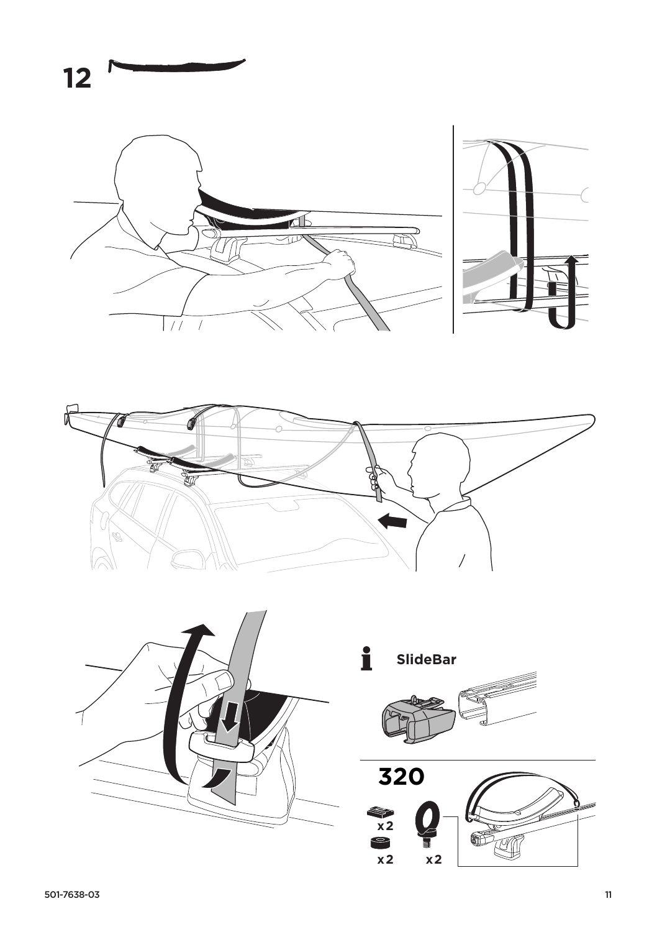





i **SlideBar** J.

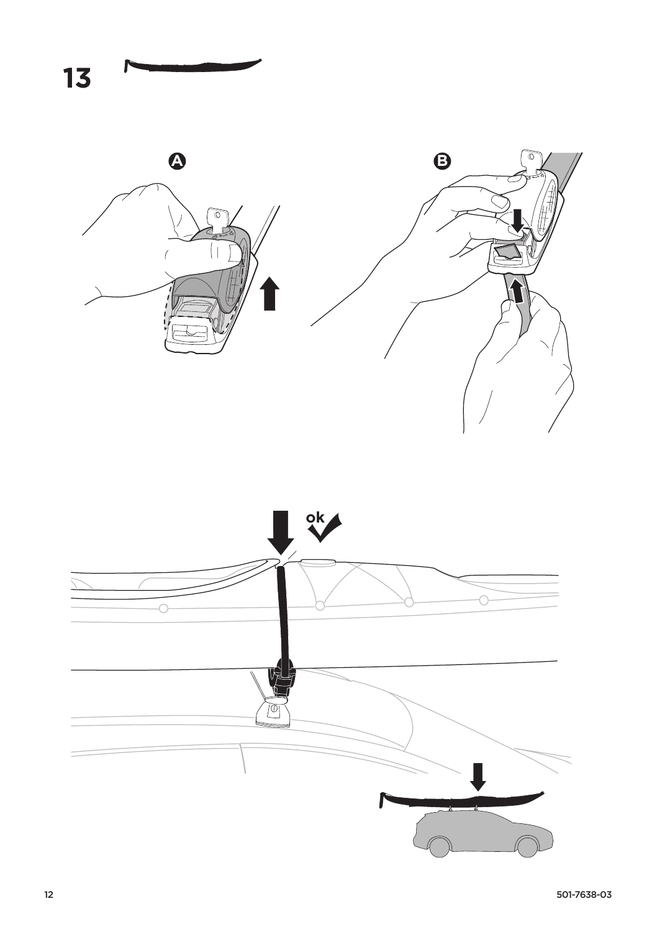

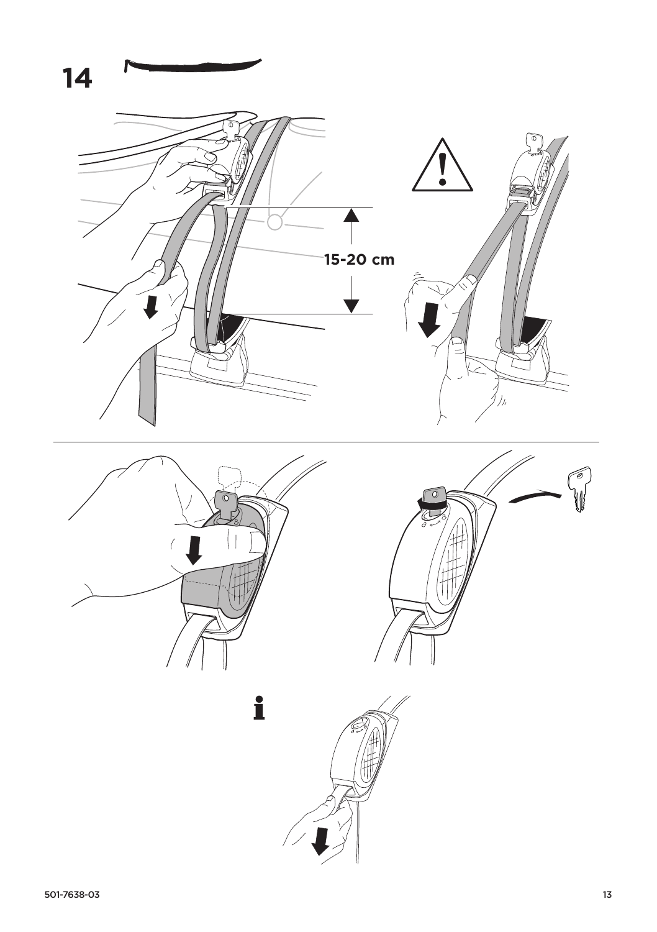









i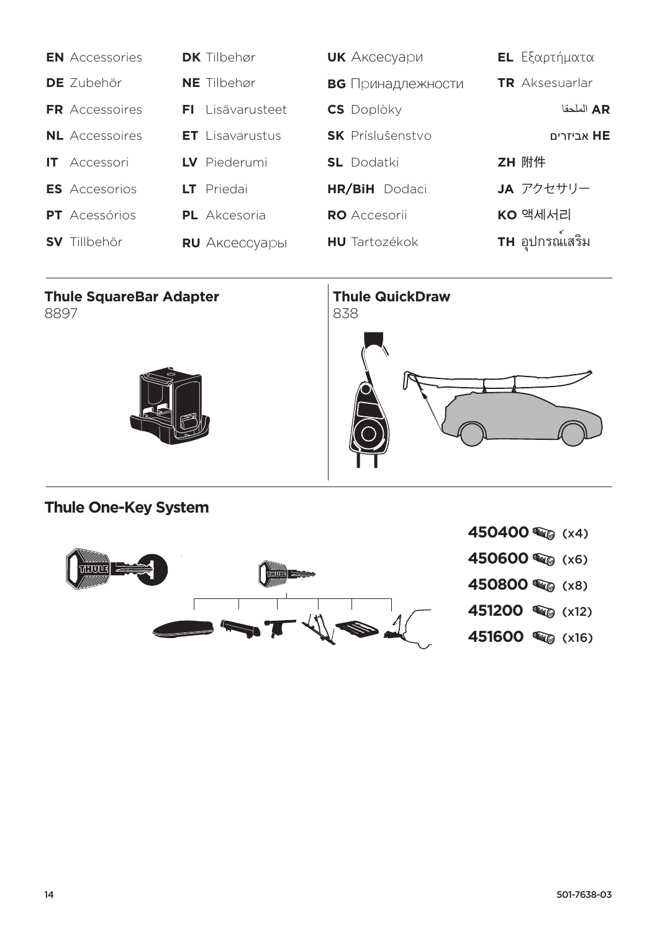|           | <b>EN</b> Accessories | <b>DK</b> Tilbehør     | <b>UK</b> Аксесуари      | <b>EL</b> Εξαρτήματα  |
|-----------|-----------------------|------------------------|--------------------------|-----------------------|
|           | DE Zubehör            | <b>NE</b> Tilbehør     | <b>BG</b> Принадлежности | <b>TR</b> Aksesuarlar |
|           | <b>FR</b> Accessoires | Lisävarusteet<br>FI.   | <b>CS</b> Doplòky        | AR الملحقا            |
|           | <b>NL</b> Accessoires | <b>ET</b> Lisavarustus | <b>SK</b> Príslušenstvo  | <b>HE</b> אביזרים     |
| IT.       | Accessori             | LV Piederumi           | <b>SL</b> Dodatki        | ZH 附件                 |
|           | <b>ES</b> Accesorios  | LT Priedai             | <b>HR/BiH</b> Dodaci     | JA アクセサリー             |
|           | <b>PT</b> Acessórios  | <b>PL</b> Akcesoria    | <b>RO</b> Accesorii      | KO 액세서리               |
| <b>SV</b> | Tillbehör             | RU Аксессуары          | <b>HU</b> Tartozékok     | TH อุปกรณ์เสริม       |

## **Thule SquareBar Adapter**

8897





## **Thule One-Key System**



- **450400** (x4)
- **450600** (x6)
- **450800** (x8)
- **451200** (x12)
- **451600** (x16)